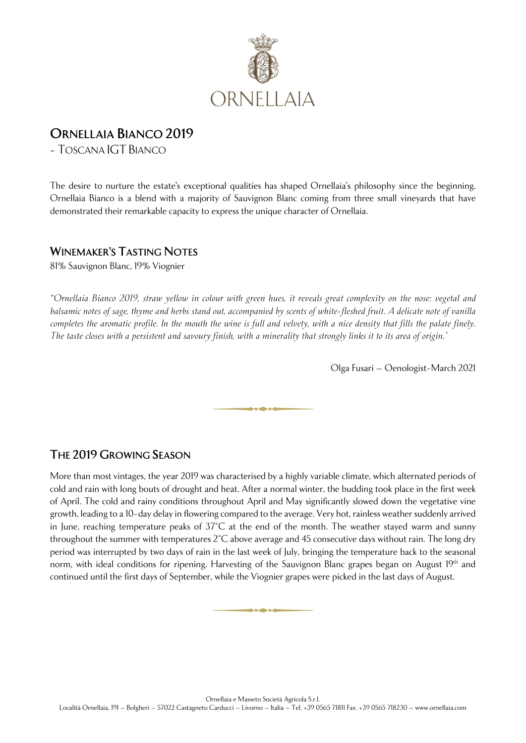

## **ORNELLAIA BIANCO 2019**

- TOSCANA IGT BIANCO

The desire to nurture the estate's exceptional qualities has shaped Ornellaia's philosophy since the beginning. Ornellaia Bianco is a blend with a majority of Sauvignon Blanc coming from three small vineyards that have demonstrated their remarkable capacity to express the unique character of Ornellaia.

## **WINEMAKER'S TASTING NOTES**

81% Sauvignon Blanc, 19% Viognier

*"Ornellaia Bianco 2019, straw yellow in colour with green hues, it reveals great complexity on the nose: vegetal and balsamic notes of sage, thyme and herbs stand out, accompanied by scents of white-fleshed fruit. A delicate note of vanilla completes the aromatic profile. In the mouth the wine is full and velvety, with a nice density that fills the palate finely. The taste closes with a persistent and savoury finish, with a minerality that strongly links it to its area of origin."*

Olga Fusari – Oenologist-March 2021

## **THE 2019 GROWING SEASON**

More than most vintages, the year 2019 was characterised by a highly variable climate, which alternated periods of cold and rain with long bouts of drought and heat. After a normal winter, the budding took place in the first week of April. The cold and rainy conditions throughout April and May significantly slowed down the vegetative vine growth, leading to a 10-day delay in flowering compared to the average. Very hot, rainless weather suddenly arrived in June, reaching temperature peaks of  $37^{\circ}$ C at the end of the month. The weather stayed warm and sunny throughout the summer with temperatures 2°C above average and 45 consecutive days without rain. The long dry period was interrupted by two days of rain in the last week of July, bringing the temperature back to the seasonal norm, with ideal conditions for ripening. Harvesting of the Sauvignon Blanc grapes began on August 19<sup>th</sup> and continued until the first days of September, while the Viognier grapes were picked in the last days of August.

فأرد والأمراء والأر